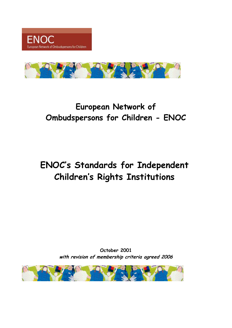

# **European Network of Ombudspersons for Children - ENOC**

# **ENOC's Standards for Independent Children's Rights Institutions**

**October 2001 with revision of membership criteria agreed 2006** 

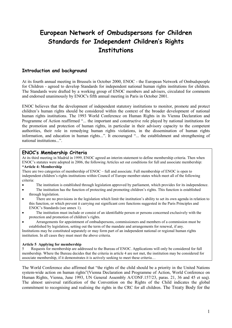# **European Network of Ombudspersons for Children Standards for Independent Children's Rights Institutions**

#### **Introduction and background**

At its fourth annual meeting in Brussels in October 2000, ENOC - the European Network of Ombudspeople for Children - agreed to develop Standards for independent national human rights institutions for children. The Standards were drafted by a working group of ENOC members and advisers, circulated for comments and endorsed unanimously by ENOC's fifth annual meeting in Paris in October 2001.

ENOC believes that the development of independent statutory institutions to monitor, promote and protect children's human rights should be considered within the context of the broader development of national human rights institutions. The 1993 World Conference on Human Rights in its Vienna Declaration and Programme of Action reaffirmed "... the important and constructive role played by national institutions for the promotion and protection of human rights, in particular in their advisory capacity to the competent authorities, their role in remedying human rights violations, in the dissemination of human rights information, and education in human rights...". It encouraged "... the establishment and strengthening of national institutions...".

#### **ENOC's Membership Criteria**

At its third meeting in Madrid in 1999, ENOC agreed an interim statement to define membership criteria. Then when ENOC's statutes were adopted in 2006, the following Articles set out conditions for full and associate membership: **"Article 4: Membership** 

There are two categories of membership of ENOC – full and associate. Full membership of ENOC is open to independent children's rights institutions within Council of Europe member-states which meet all of the following criteria:

- The institution is established through legislation approved by parliament, which provides for its independence.
- The institution has the function of protecting and promoting children's rights. This function is established through legislation.
- There are no provisions in the legislation which limit the institution's ability to set its own agenda in relation to this function, or which prevent it carrying out significant core functions suggested in the Paris Principles and ENOC's Standards (see annex 1).
- The institution must include or consist of an identifiable person or persons concerned exclusively with the protection and promotion of children's rights.
- Arrangements for appointment of ombudspersons, commissioners and members of a commission must be established by legislation, setting out the term of the mandate and arrangements for renewal, if any.

Institutions may be constituted separately or may form part of an independent national or regional human rights institution. In all cases they must meet the above criteria.

#### **Article 5 Applying for membership**

5 Requests for membership are addressed to the Bureau of ENOC. Applications will only be considered for full membership. Where the Bureau decides that the criteria in article 4 are not met, the institution may be considered for associate membership, if it demonstrates it is actively seeking to meet these criteria…

The World Conference also affirmed that "the rights of the child should be a priority in the United Nations system-wide action on human rights"(Vienna Declaration and Programme of Action, World Conference on Human Rights, Vienna, June 1993, UN General Assembly A/CONF.157/23, paras. 21, 36 and 45 et seq). The almost universal ratification of the Convention on the Rights of the Child indicates the global commitment to recognising and realising the rights in the CRC for all children. The Treaty Body for the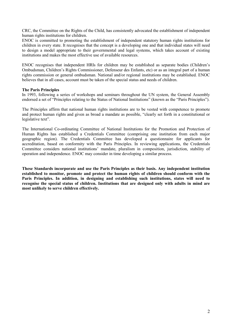CRC, the Committee on the Rights of the Child, has consistently advocated the establishment of independent human rights institutions for children.

ENOC is committed to promoting the establishment of independent statutory human rights institutions for children in every state. It recognises that the concept is a developing one and that individual states will need to design a model appropriate to their governmental and legal systems, which takes account of existing institutions and makes the most effective use of available resources.

ENOC recognises that independent HRIs for children may be established as separate bodies (Children's Ombudsman, Children's Rights Commissioner, Defenseur des Enfants, etc) or as an integral part of a human rights commission or general ombudsman. National and/or regional institutions may be established. ENOC believes that in all cases, account must be taken of the special status and needs of children.

#### **The Paris Principles**

In 1993, following a series of workshops and seminars throughout the UN system, the General Assembly endorsed a set of "Principles relating to the Status of National Institutions" (known as the "Paris Principles").

The Principles affirm that national human rights institutions are to be vested with competence to promote and protect human rights and given as broad a mandate as possible, "clearly set forth in a constitutional or legislative text".

The International Co-ordinating Committee of National Institutions for the Promotion and Protection of Human Rights has established a Credentials Committee (comprising one institution from each major geographic region). The Credentials Committee has developed a questionnaire for applicants for accreditation, based on conformity with the Paris Principles. In reviewing applications, the Credentials Committee considers national institutions' mandate, pluralism in composition, jurisdiction, stability of operation and independence. ENOC may consider in time developing a similar process.

**These Standards incorporate and use the Paris Principles as their basis. Any independent institution established to monitor, promote and protect the human rights of children should conform with the Paris Principles. In addition, in designing and establishing such institutions, states will need to recognise the special status of children. Institutions that are designed only with adults in mind are most unlikely to serve children effectively.**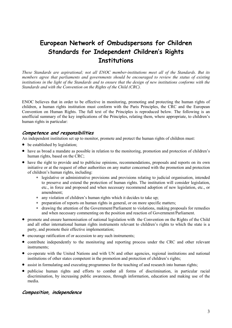# **European Network of Ombudspersons for Children Standards for Independent Children's Rights Institutions**

*These Standards are aspirational; not all ENOC member-institutions meet all of the Standards. But its members agree that parliaments and governments should be encouraged to review the status of existing institutions in the light of the Standards and to ensure that the design of new institutions conforms with the Standards and with the Convention on the Rights of the Child (CRC).* 

ENOC believes that in order to be effective in monitoring, promoting and protecting the human rights of children, a human rights institution must conform with the Paris Principles, the CRC and the European Convention on Human Rights. The full text of the Principles is reproduced below. The following is an unofficial summary of the key implications of the Principles, relating them, where appropriate, to children's human rights in particular:

#### **Competence and responsibilities**

An independent institution set up to monitor, promote and protect the human rights of children must:

- be established by legislation;
- have as broad a mandate as possible in relation to the monitoring, promotion and protection of children's human rights, based on the CRC;
- have the right to provide and to publicise opinions, recommendations, proposals and reports on its own initiative or at the request of other authorities on any matter concerned with the promotion and protection of children's human rights, including:
	- ∗ legislative or administrative provisions and provisions relating to judicial organisation, intended to preserve and extend the protection of human rights. The institution will consider legislation, etc., in force and proposed and when necessary recommend adoption of new legislation, etc., or amendment;
	- ∗ any violation of children's human rights which it decides to take up;
	- ∗ preparation of reports on human rights in general, or on more specific matters;
	- ∗ drawing the attention of the Government/Parliament to violations, making proposals for remedies and when necessary commenting on the position and reaction of Government/Parliament.
- promote and ensure harmonisation of national legislation with the Convention on the Rights of the Child and all other international human rights instruments relevant to children's rights to which the state is a party, and promote their effective implementation;
- encourage ratification of or accession to any such instruments;
- contribute independently to the monitoring and reporting process under the CRC and other relevant instruments;
- co-operate with the United Nations and with UN and other agencies, regional institutions and national institutions of other states competent in the promotion and protection of children's rights;
- assist in formulating and executing programmes for the teaching of and research into human rights;
- publicise human rights and efforts to combat all forms of discrimination, in particular racial discrimination, by increasing public awareness, through information, education and making use of the media.

#### **Composition, independence**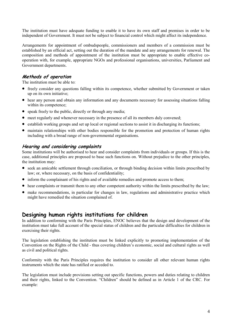The institution must have adequate funding to enable it to have its own staff and premises in order to be independent of Government. It must not be subject to financial control which might affect its independence.

Arrangements for appointment of ombudspeople, commissioners and members of a commission must be established by an official act, setting out the duration of the mandate and any arrangements for renewal. The composition and methods of appointment of the institution must be appropriate to enable effective cooperation with, for example, appropriate NGOs and professional organisations, universities, Parliament and Government departments.

### **Methods of operation**

The institution must be able to:

- freely consider any questions falling within its competence, whether submitted by Government or taken up on its own initiative;
- hear any person and obtain any information and any documents necessary for assessing situations falling within its competence;
- speak freely to the public, directly or through any media;
- meet regularly and whenever necessary in the presence of all its members duly convened;
- establish working groups and set up local or regional sections to assist it in discharging its functions;
- maintain relationships with other bodies responsible for the promotion and protection of human rights including with a broad range of non-governmental organisations.

#### **Hearing and considering complaints**

Some institutions will be authorised to hear and consider complaints from individuals or groups. If this is the case, additional principles are proposed to base such functions on. Without prejudice to the other principles, the institution may:

- seek an amicable settlement through conciliation, or through binding decision within limits prescribed by law; or, where necessary, on the basis of confidentiality;
- inform the complainant of his rights and of available remedies and promote access to them;
- hear complaints or transmit them to any other competent authority within the limits prescribed by the law;
- make recommendations, in particular for changes in law, regulations and administrative practice which might have remedied the situation complained of.

# **Designing human rights institutions for children**

In addition to conforming with the Paris Principles, ENOC believes that the design and development of the institution must take full account of the special status of children and the particular difficulties for children in exercising their rights.

The legislation establishing the institution must be linked explicitly to promoting implementation of the Convention on the Rights of the Child - thus covering children's economic, social and cultural rights as well as civil and political rights.

Conformity with the Paris Principles requires the institution to consider all other relevant human rights instruments which the state has ratified or acceded to.

The legislation must include provisions setting out specific functions, powers and duties relating to children and their rights, linked to the Convention. "Children" should be defined as in Article 1 of the CRC. For example: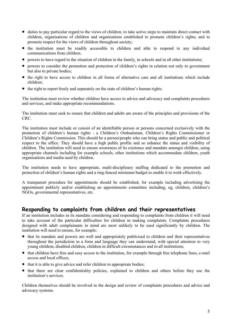- duties to pay particular regard to the views of children, to take active steps to maintain direct contact with children, organisations of children and organisations established to promote children's rights; and to promote respect for the views of children throughout society;
- the institution must be readily accessible to children and able to respond to any individual communications from children.
- powers to have regard to the situation of children in the family, in schools and in all other institutions;
- powers to consider the promotion and protection of children's rights in relation not only to government but also to private bodies;
- the right to have access to children in all forms of alternative care and all institutions which include children;
- the right to report freely and separately on the state of children's human rights.

The institution must review whether children have access to advice and advocacy and complaints procedures and services, and make appropriate recommendations.

The institution must seek to ensure that children and adults are aware of the principles and provisions of the CRC.

The institution must include or consist of an identifiable person or persons concerned exclusively with the promotion of children's human rights - a Children's Ombudsman, Children's Rights Commissioner or Children's Rights Commission. This should be a person/people who can bring status and public and political respect to the office. They should have a high public profile and so enhance the status and visibility of children. The institution will need to ensure awareness of its existence and mandate amongst children, using appropriate channels including for example schools, other institutions which accommodate children, youth organisations and media used by children.

The institution needs to have appropriate, multi-disciplinary staffing dedicated to the promotion and protection of children's human rights and a ring-fenced minimum budget to enable it to work effectively.

A transparent procedure for appointments should be established, for example including advertising the appointment publicly and/or establishing an appointments committee including, eg, children, children's NGOs, governmental representatives, etc.

# **Responding to complaints from children and their representatives**

If an institution includes in its mandate considering and responding to complaints from children it will need to take account of the particular difficulties for children in making complaints. Complaints procedures designed with adult complainants in mind are most unlikely to be used significantly by children. The institution will need to ensure, for example:

- that its mandate and powers are well and appropriately publicised to children and their representatives throughout the jurisdiction in a form and language they can understand, with special attention to very young children, disabled children, children in difficult circumstances and in all institutions;
- that children have free and easy access to the institution, for example through free telephone lines, e-mail access and local offices;
- that it is able to give advice and refer children to appropriate bodies;
- that there are clear confidentiality policies, explained to children and others before they use the institution's services.

Children themselves should be involved in the design and review of complaints procedures and advice and advocacy systems.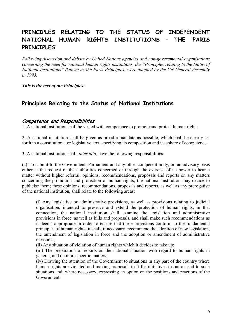# **PRINCIPLES RELATING TO THE STATUS OF INDEPENDENT NATIONAL HUMAN RIGHTS INSTITUTIONS – THE 'PARIS PRINCIPLES'**

*Following discussion and debate by United Nations agencies and non-governmental organisations concerning the need for national human rights institutions, the "Principles relating to the Status of National Institutions" (known as the Paris Principles) were adopted by the UN General Assembly in 1993.* 

*This is the text of the Principles:* 

# **Principles Relating to the Status of National Institutions**

#### **Competence and Responsibilities**

1. A national institution shall be vested with competence to promote and protect human rights.

2. A national institution shall be given as broad a mandate as possible, which shall be clearly set forth in a constitutional or legislative text, specifying its composition and its sphere of competence.

3. A national institution shall, *inter alia*, have the following responsibilities:

(a) To submit to the Government, Parliament and any other competent body, on an advisory basis either at the request of the authorities concerned or through the exercise of its power to hear a matter without higher referral, opinions, recommendations, proposals and reports on any matters concerning the promotion and protection of human rights; the national institution may decide to publicise them; these opinions, recommendations, proposals and reports, as well as any prerogative of the national institution, shall relate to the following areas:

(i) Any legislative or administrative provisions, as well as provisions relating to judicial organisation, intended to preserve and extend the protection of human rights; in that connection, the national institution shall examine the legislation and administrative provisions in force, as well as bills and proposals, and shall make such recommendations as it deems appropriate in order to ensure that these provisions conform to the fundamental principles of human rights; it shall, if necessary, recommend the adoption of new legislation, the amendment of legislation in force and the adoption or amendment of administrative measures;

(ii) Any situation of violation of human rights which it decides to take up;

(iii) The preparation of reports on the national situation with regard to human rights in general, and on more specific matters;

(iv) Drawing the attention of the Government to situations in any part of the country where human rights are violated and making proposals to it for initiatives to put an end to such situations and, where necessary, expressing an option on the positions and reactions of the Government;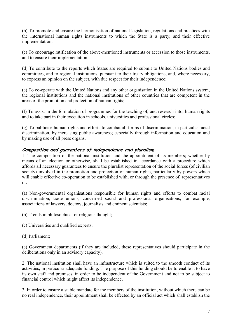(b) To promote and ensure the harmonisation of national legislation, regulations and practices with the international human rights instruments to which the State is a party, and their effective implementation;

(c) To encourage ratification of the above-mentioned instruments or accession to those instruments, and to ensure their implementation;

(d) To contribute to the reports which States are required to submit to United Nations bodies and committees, and to regional institutions, pursuant to their treaty obligations, and, where necessary, to express an opinion on the subject, with due respect for their independence;

(e) To co-operate with the United Nations and any other organisation in the United Nations system, the regional institutions and the national institutions of other countries that are competent in the areas of the promotion and protection of human rights;

(f) To assist in the formulation of programmes for the teaching of, and research into, human rights and to take part in their execution in schools, universities and professional circles;

(g) To publicise human rights and efforts to combat all forms of discrimination, in particular racial discrimination, by increasing public awareness; especially through information and education and by making use of all press organs.

### **Composition and guarantees of independence and pluralism**

1. The composition of the national institution and the appointment of its members; whether by means of an election or otherwise, shall be established in accordance with a procedure which affords all necessary guarantees to ensure the pluralist representation of the social forces (of civilian society) involved in the promotion and protection of human rights, particularly by powers which will enable effective co-operation to be established with, or through the presence of, representatives of:

(a) Non-governmental organisations responsible for human rights and efforts to combat racial discrimination, trade unions, concerned social and professional organisations, for example, associations of lawyers, doctors, journalists and eminent scientists;

(b) Trends in philosophical or religious thought;

- (c) Universities and qualified experts;
- (d) Parliament;

(e) Government departments (if they are included, these representatives should participate in the deliberations only in an advisory capacity).

2. The national institution shall have an infrastructure which is suited to the smooth conduct of its activities, in particular adequate funding. The purpose of this funding should be to enable it to have its own staff and premises, in order to be independent of the Government and not to be subject to financial control which might affect its independence.

3. In order to ensure a stable mandate for the members of the institution, without which there can be no real independence, their appointment shall be effected by an official act which shall establish the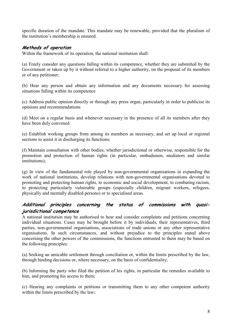specific duration of the mandate. This mandate may be renewable, provided that the pluralism of the institution's membership is ensured.

## **Methods of operation**

Within the framework of its operation, the national institution shall:

(a) Freely consider any questions falling within its competence, whether they are submitted by the Government or taken up by it without referral to a higher authority, on the proposal of its members or of any petitioner;

(b) Hear any person and obtain any information and any documents necessary for assessing situations falling within its competence

(c) Address public opinion directly or through any press organ, particularly in order to publicise its opinions and recommendations

(d) Meet on a regular basis and whenever necessary in the presence of all its members after they have been duly convened

(e) Establish working groups from among its members as necessary, and set up local or regional sections to assist it in discharging its functions;

(f) Maintain consultation with other bodies, whether jurisdictional or otherwise, responsible for the promotion and protection of human rights (in particular, ombudsmen, mediators and similar institutions);

(g) In view of the fundamental role played by non-governmental organisations in expanding the work of national institutions, develop relations with non-governmental organisations devoted to promoting and protecting human rights, to economic and social development, to combating racism, to protecting particularly vulnerable groups (especially children, migrant workers, refugees, physically and mentally disabled persons) or to specialised areas.

## **Additional principles concerning the status of commissions with quasijurisdictional competence**

A national institution may be authorised to hear and consider complaints and petitions concerning individual situations. Cases may be brought before it by individuals, their representatives, third parties, non-governmental organisations, associations of trade unions or any other representative organisations. In such circumstances, and without prejudice to the principles stated above concerning the other powers of the commissions, the functions entrusted to them may be based on the following principles:

(a) Seeking an amicable settlement through conciliation or, within the limits prescribed by the law, through binding decisions or, where necessary, on the basis of confidentiality;

(b) Informing the party who filed the petition of his rights, in particular the remedies available to him, and promoting his access to them;

(c) Hearing any complaints or petitions or transmitting them to any other competent authority within the limits prescribed by the law;